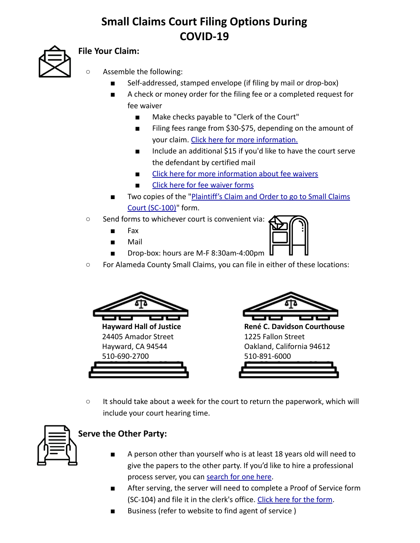## **Small Claims Court Filing Options During COVID-19**



## **File Your Claim:**

- Assemble the following:
	- Self-addressed, stamped envelope (if filing by mail or drop-box)
	- A check or money order for the filing fee or a completed request for fee waiver
		- Make checks payable to "Clerk of the Court"
		- Filing fees range from \$30-\$75, depending on the amount of your claim. [Click here for more information.](https://www.courts.ca.gov/1256.htm)
		- Include an additional \$15 if you'd like to have the court serve the defendant by certified mail
		- [Click here for more information about fee waivers](https://www.courts.ca.gov/selfhelp-feewaiver.htm?rdeLocaleAttr=en)
		- [Click here for fee waiver forms](https://www.courts.ca.gov/documents/fw001.pdf)
	- Two copies of the ["Plaintiff's Claim and Order to go to Small Claims](https://www.courts.ca.gov/documents/sc100.pdf) [Court \(SC-100\)](https://www.courts.ca.gov/documents/sc100.pdf)" form.
- Send forms to whichever court is convenient via:
	- Fax
	- Mail



○ For Alameda County Small Claims, you can file in either of these locations:



**Hayward Hall of Justice** 24405 Amador Street Hayward, CA 94544 510-690-2700



**René C. Davidson Courthouse**  1225 Fallon Street Oakland, California 94612 510-891-6000

- 
- It should take about a week for the court to return the paperwork, which will include your court hearing time.



## **Serve the Other Party:**

- A person other than yourself who is at least 18 years old will need to give the papers to the other party. If you'd like to hire a professional process server, you can [search for one here](https://napps.org/Process-Servers/CA).
- After serving, the server will need to complete a Proof of Service form (SC-104) and file it in the clerk's office. [Click here for the form.](https://www.courts.ca.gov/documents/sc104.pdf)
- Business (refer to website to find agent of service)